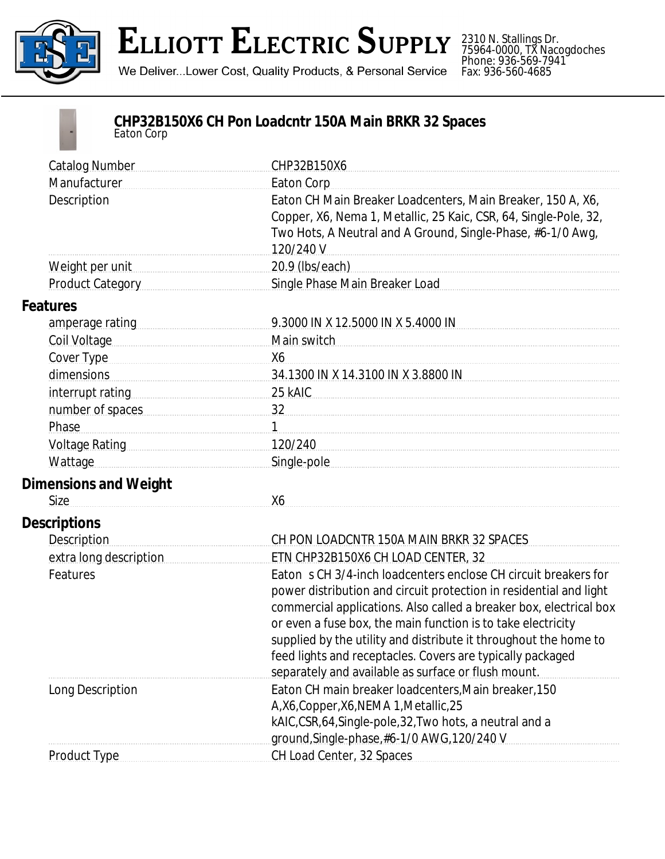

## **ELLIOTT ELECTRIC SUPPLY**

We Deliver...Lower Cost, Quality Products, & Personal Service

2310 N. Stallings Dr. 75964-0000, TX Nacogdoches Phone: 936-569-7941 Fax: 936-560-4685



## **CHP32B150X6 CH Pon Loadcntr 150A Main BRKR 32 Spaces** *Eaton Corp*

| <b>Catalog Number</b>                                                                                          | CHP32B150X6                                                        |
|----------------------------------------------------------------------------------------------------------------|--------------------------------------------------------------------|
| Manufacturer                                                                                                   | <b>Eaton Corp</b>                                                  |
| Description                                                                                                    | Eaton CH Main Breaker Loadcenters, Main Breaker, 150 A, X6,        |
|                                                                                                                | Copper, X6, Nema 1, Metallic, 25 Kaic, CSR, 64, Single-Pole, 32,   |
|                                                                                                                | Two Hots, A Neutral and A Ground, Single-Phase, #6-1/0 Awg,        |
|                                                                                                                | 120/240 V                                                          |
| Weight per unit <b>Weight</b> per unit                                                                         | 20.9 (lbs/each) 20.9 (lbs/each)                                    |
| Product Category                                                                                               | Single Phase Main Breaker Load                                     |
| <b>Features</b>                                                                                                |                                                                    |
| amperage rating                                                                                                | 9.3000 IN X 12.5000 IN X 5.4000 IN                                 |
| Coil Voltage                                                                                                   | Main switch                                                        |
| Cover Type                                                                                                     | X6                                                                 |
| dimensions                                                                                                     | 34.1300 IN X 14.3100 IN X 3.8800 IN                                |
| interrupt rating interruption and the manufactured in the manufactured in the manufactured in the manufactured | 25 kAIC                                                            |
| number of spaces                                                                                               | $\frac{32}{2}$                                                     |
| Phase                                                                                                          |                                                                    |
| Voltage Rating National Property of Table 1                                                                    | 120/240                                                            |
| Wattage                                                                                                        | Single-pole                                                        |
| <b>Dimensions and Weight</b>                                                                                   |                                                                    |
| <b>Size</b>                                                                                                    | X6                                                                 |
| <b>Descriptions</b>                                                                                            |                                                                    |
| <b>Description</b>                                                                                             | CH PON LOADCNTR 150A MAIN BRKR 32 SPACES                           |
| extra long description                                                                                         | ETN CHP32B150X6 CH LOAD CENTER, 32                                 |
| Features                                                                                                       | Eaton s CH 3/4-inch loadcenters enclose CH circuit breakers for    |
|                                                                                                                | power distribution and circuit protection in residential and light |
|                                                                                                                | commercial applications. Also called a breaker box, electrical box |
|                                                                                                                | or even a fuse box, the main function is to take electricity       |
|                                                                                                                | supplied by the utility and distribute it throughout the home to   |
|                                                                                                                | feed lights and receptacles. Covers are typically packaged         |
|                                                                                                                | separately and available as surface or flush mount.                |
| Long Description                                                                                               | Eaton CH main breaker loadcenters, Main breaker, 150               |
|                                                                                                                | A,X6,Copper,X6,NEMA 1,Metallic,25                                  |
|                                                                                                                | kAIC,CSR,64,Single-pole,32,Two hots, a neutral and a               |
|                                                                                                                | ground, Single-phase, #6-1/0 AWG, 120/240 V                        |
| Product Type                                                                                                   | CH Load Center, 32 Spaces                                          |
|                                                                                                                |                                                                    |